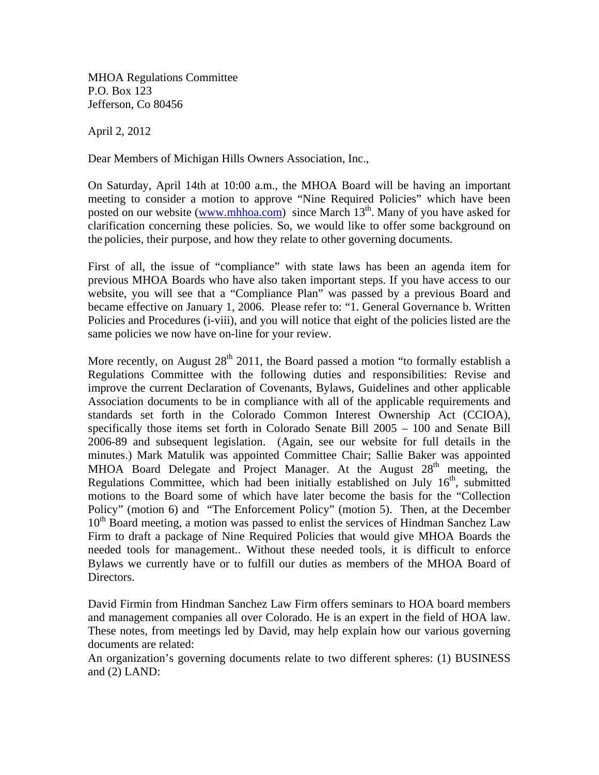MHOA Regulations Committee P.O. Box 123 Jefferson, Co 80456

April 2, 2012

Dear Members of Michigan Hills Owners Association, Inc.,

On Saturday, April 14th at 10:00 a.m., the MHOA Board will be having an important meeting to consider a motion to approve "Nine Required Policies" which have been posted on our website (www.mhhoa.com) since March  $13<sup>th</sup>$ . Many of you have asked for clarification concerning these policies. So, we would like to offer some background on the policies, their purpose, and how they relate to other governing documents.

First of all, the issue of "compliance" with state laws has been an agenda item for previous MHOA Boards who have also taken important steps. If you have access to our website, you will see that a "Compliance Plan" was passed by a previous Board and became effective on January 1, 2006. Please refer to: "1. General Governance b. Written Policies and Procedures (i-viii), and you will notice that eight of the policies listed are the same policies we now have on-line for your review.

More recently, on August  $28<sup>th</sup>$  2011, the Board passed a motion "to formally establish a Regulations Committee with the following duties and responsibilities: Revise and improve the current Declaration of Covenants, Bylaws, Guidelines and other applicable Association documents to be in compliance with all of the applicable requirements and standards set forth in the Colorado Common Interest Ownership Act (CCIOA), specifically those items set forth in Colorado Senate Bill 2005 – 100 and Senate Bill 2006-89 and subsequent legislation. (Again, see our website for full details in the minutes.) Mark Matulik was appointed Committee Chair; Sallie Baker was appointed MHOA Board Delegate and Project Manager. At the August  $28<sup>th</sup>$  meeting, the Regulations Committee, which had been initially established on July  $16<sup>th</sup>$ , submitted motions to the Board some of which have later become the basis for the "Collection Policy" (motion 6) and "The Enforcement Policy" (motion 5). Then, at the December  $10<sup>th</sup>$  Board meeting, a motion was passed to enlist the services of Hindman Sanchez Law Firm to draft a package of Nine Required Policies that would give MHOA Boards the needed tools for management.. Without these needed tools, it is difficult to enforce Bylaws we currently have or to fulfill our duties as members of the MHOA Board of Directors.

David Firmin from Hindman Sanchez Law Firm offers seminars to HOA board members and management companies all over Colorado. He is an expert in the field of HOA law. These notes, from meetings led by David, may help explain how our various governing documents are related:

An organization's governing documents relate to two different spheres: (1) BUSINESS and (2) LAND: